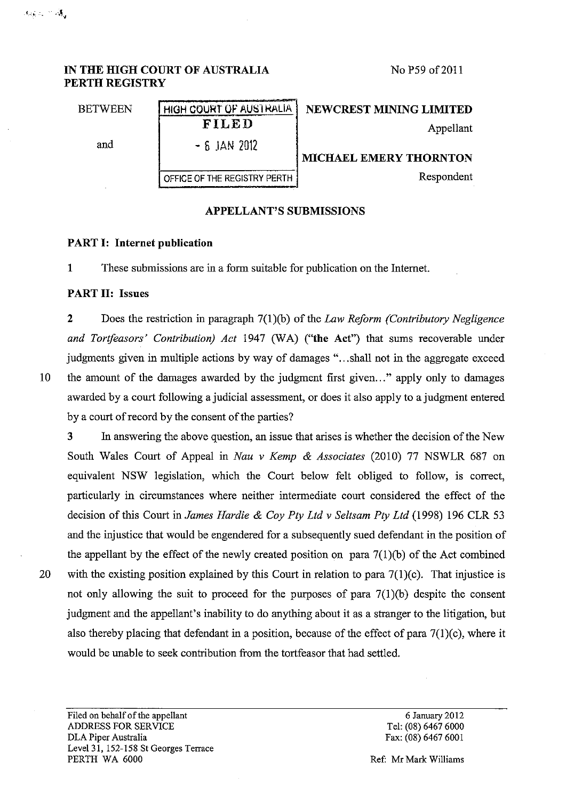### IN THE HIGH COURT OF AUSTRALIA PERTH REGISTRY

**BETWEEN** 

NEW CREST MINING LIMITED Appellant

and

| FILED                        |
|------------------------------|
| $-6$ JAN 2012                |
| OFFICE OF THE REGISTRY PERTH |

HIGH COURT OF AUSTRALIA

MICHAEL EMERY THORNTON

Respondent

No P59 of2011

### APPELLANT'S SUBMISSIONS

### PART I: Internet publication

1 These submissions are in a form suitable for publication on the Internet.

### PART II: Issues

2 Does the restriction in paragraph 7(l)(b) of the *Law Reform (Contributory Negligence and Torifeasors' Contribution) Act* 1947 (WA) ("the Act") that sums recoverable under judgments given in multiple actions by way of damages "...shall not in the aggregate exceed 10 the amount of the damages awarded by the judgment first given ... " apply only to damages awarded by a court following a judicial assessment, or does it also apply to a judgment entered by a court of record by the consent of the parties?

3 In answering the above question, an issue that arises is whether the decision of the New South Wales Court of Appeal in *Nau v Kemp* & *Associates* (2010) 77 NSWLR 687 on equivalent NSW legislation, which the Court below felt obliged to follow, is correct, particularly in circumstances where neither intermediate court considered the effect of the decision of this Court in *James Hardie* & *Coy Pty Ltd v Seltsam Pty Ltd* (1998) 196 CLR 53 and the injustice that would be engendered for a subsequently sued defendant in the position of the appellant by the effect of the newly created position on para  $7(1)(b)$  of the Act combined 20 with the existing position explained by this Court in relation to para  $7(1)(c)$ . That injustice is not only allowing the suit to proceed for the purposes of para  $7(1)(b)$  despite the consent judgment and the appellant's inability to do anything about it as a stranger to the litigation, but also thereby placing that defendant in a position, because of the effect of para  $7(1)(c)$ , where it would be unable to seek contribution from the tortfeasor that had settled.

Filed on behalf of the appellant ADDRESS FOR SERVICE DLA Piper Australia Level31, 152-158 St Georges Terrace PERTH WA 6000

6 January 2012 Tel: (08) 6467 6000 Fax: (08) 6467 6001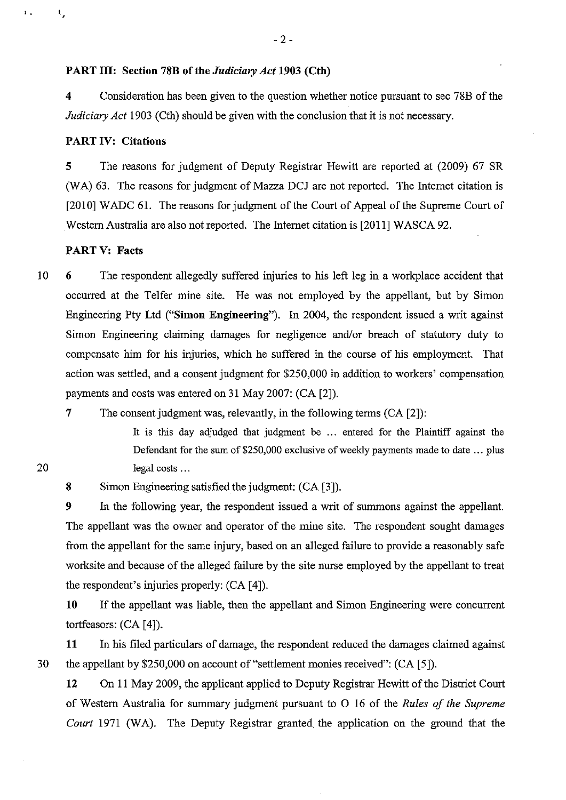### PART III: Section 78B of the *Judiciary Act* 1903 (Cth)

4 Consideration has been given to the question whether notice pursuant to sec 78B of the *Judiciary Act* 1903 (Cth) should be given with the conclusion that it is not necessary.

### PART IV: Citations

5 The reasons for judgment of Deputy Registrar Hewitt are reported at (2009) 67 SR *(WA) 63. The reasons for judgment of Mazza DCJ are not reported. The Internet citation is* [2010] WADC 61. The reasons for judgment of the Court of Appeal of the Supreme Court of Western Australia are also not reported. The Internet citation is [2011] WASCA 92.

### PART V: Facts

10 6 The respondent allegedly suffered injuries to his left leg in a workplace accident that occurred at the Telfer mine site. He was not employed by the appellant, but by Simon Engineering Pty Ltd ("Simon Engineering"). In 2004, the respondent issued a writ against Simon Engineering claiming damages for negligence and/or breach of statutory duty to compensate him for his injuries, which he suffered in the course of his employment. That action was settled, and a consent judgment for \$250,000 in addition to workers' compensation payments and costs was entered on 31 May 2007: (CA [2]).

7 The consent judgment was, relevantly, in the following terms (CA [2]):

It is this day adjudged that judgment be ... entered for the Plaintiff against the Defendant for the sum of \$250,000 exclusive of weekly payments made to date ... plus legal costs ...

8 Simon Engineering satisfied the judgment: (CA [3]).

9 In the following year, the respondent issued a writ of summons against the appellant. The appellant was the owner and operator of the mine site. The respondent sought damages from the appellant for the same injury, based on an alleged failure to provide a reasonably safe worksite and because of the alleged failure by the site nurse employed by the appellant to treat the respondent's injuries properly: (CA [4]).

10 If the appellant was liable, then the appellant and Simon Engineering were concurrent tortfeasors:  $(CA [4]).$ 

11 In his filed particulars of damage, the respondent reduced the damages claimed against 30 the appellant by \$250,000 on account of "settlement monies received": (CA [5]).

12 On 11 May 2009, the applicant applied to Deputy Registrar Hewitt of the District Court of Western Australia for summary judgment pursuant to 0 16 of the *Rules of the Supreme Court* 1971 *(lNA).* The Deputy Registrar granted the application on the ground that the

20

 $\mathbf{L}$ 

 $\mathbf{t}_{\mathbf{r}}$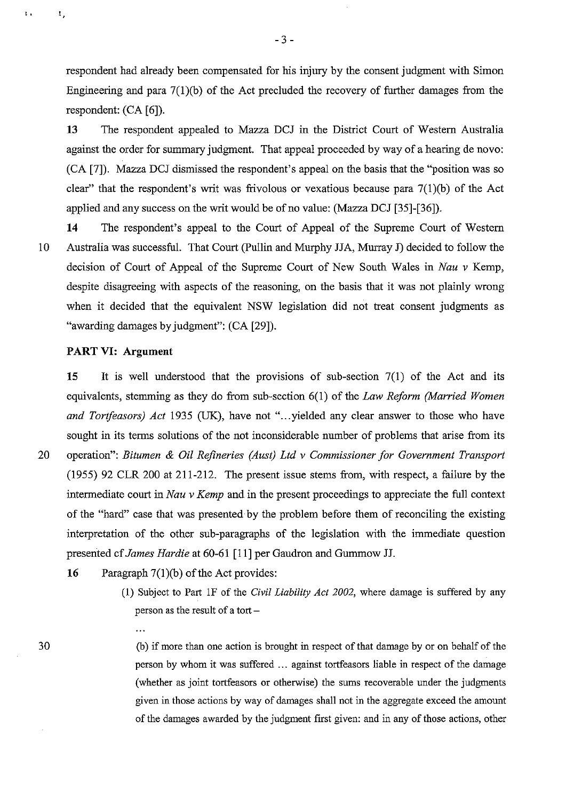respondent had already been compensated for his injury by the consent judgment with Simon Engineering and para  $7(1)(b)$  of the Act precluded the recovery of further damages from the respondent: (CA [6]).

**13** The respondent appealed to Mazza DCJ in the District Court of Western Australia against the order for summary judgment. That appeal proceeded by way of a hearing de novo: (CA [7]). Mazza DCJ dismissed the respondent's appeal on the basis that the "position was so clear" that the respondent's writ was frivolous or vexatious because para 7(1)(b) of the Act applied and any success on the writ would be of no value: (Mazza DCJ [35]-[36]).

*t* • I <sup>I</sup>

**14** The respondent's appeal to the Court of Appeal of the Supreme Court of Western 10 Australia was successful. That Court (Pullin and Murphy JJA, Murray J) decided to follow the decision of Court of Appeal of the Supreme Court of New South Wales in *Nau v* Kemp, despite disagreeing with aspects of the reasoning, on the basis that it was not plainly wrong when it decided that the equivalent NSW legislation did not treat consent judgments as "awarding damages by judgment": (CA [29]).

### **PART** VI: **Argument**

**15** It is well understood that the provisions of sub-section 7(1) of the Act and its equivalents, stemming as they do from sub-section 6(1) of the *Law Reform (Married Women and Tortfeasors) Act* 1935 (UK), have not "...yielded any clear answer to those who have sought in its terms solutions of the not inconsiderable number of problems that arise from its 20 operation": *Bitumen* & *Oil Refineries (Aust) Ltd v Commissioner for Government Transport*  (1955) 92 CLR 200 at 211-212. The present issue stems from, with respect, a failure by the intermediate court in *Nau v Kemp* and in the present proceedings to appreciate the full context of the "hard" case that was presented by the problem before them of reconciling the existing interpretation of the other sub-paragraphs of the legislation with the immediate question presented cf *James Hardie* at 60-61 [11] per Gaudron and Gurnmow JJ.

- 16 Paragraph 7(1)(b) of the Act provides:
	- (1) Subject to Part IF of the *Civil Liability Act 2002,* where damage is suffered by any person as the result of a tort $-$

30

(b) if more than one action is brought in respect of that damage by or on behalf of the person by whom it was suffered ... against tortfeasors liable in respect of the damage (whether as joint tortfeasors or otherwise) the sums recoverable under the judgments given in those actions by way of damages shall not in the aggregate exceed the amount of the damages awarded by the judgment first given: and in any of those actions, other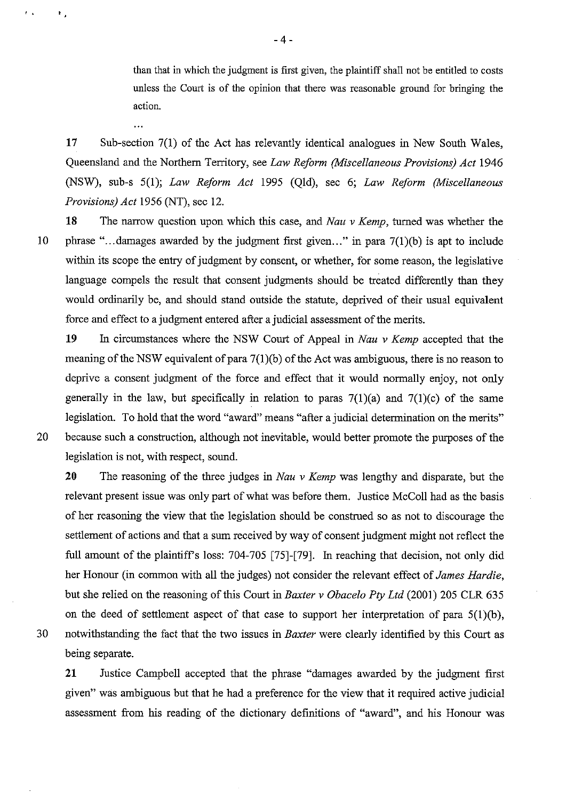than that in which the judgment is first given, the plaintiff shall not be entitled to costs unless the Court is of the opinion that there was reasonable ground for bringing the action.

17 Sub-section 7(1) of the Act has relevantly identical analogues in New South Wales, Queensland and the Northern Territory, see *Law Reform (Miscellaneous Provisions) Act* 1946 (NSW), sub-s 5(1); *Law Reform Act* 1995 (Qld), sec 6; *Law Reform (Miscellaneous Provisions) Act* 1956 (NT), sec 12.

18 The narrow question upon which this case, and *Nau v Kemp,* turned was whether the 10 phrase "... damages awarded by the judgment first given..." in para 7(1)(b) is apt to include within its scope the entry of judgment by consent, or whether, for some reason, the legislative language compels the result that consent judgments should be treated differently than they would ordinarily be, and should stand outside the statute, deprived of their usual equivalent force and effect to a judgment entered after a judicial assessment of the merits.

19 ln circumstances where the NSW Court of Appeal in *Nau v Kemp* accepted that the meaning of the NSW equivalent of para 7(1)(b) of the Act was ambiguous, there is no reason to deprive a consent judgment of the force and effect that it would normally enjoy, not only generally in the law, but specifically in relation to paras  $7(1)(a)$  and  $7(1)(c)$  of the same legislation. To hold that the word "award" means "after a judicial determination on the merits" 20 because such a construction, although not inevitable, would better promote the purposes of the legislation is not, with respect, sound.

20 The reasoning of the three judges in *Nau v Kemp* was lengthy and disparate, but the relevant present issue was only part of what was before them. Justice McColl had as the basis of her reasoning the view that the legislation should be construed so as not to discourage the settlement of actions and that a sum received by way of consent judgment might not reflect the full amount of the plaintiff's loss: 704-705 [75]-[79]. In reaching that decision, not only did her Honour (in common with all the judges) not consider the relevant effect of *James Hardie,*  but she relied on the reasoning of this Court in *Baxter v Obacelo Pty Ltd* (2001) 205 CLR 635 on the deed of settlement aspect of that case to support her interpretation of para  $5(1)(b)$ , 30 notwithstanding the fact that the two issues in *Baxter* were clearly identified by this Court as being separate.

21 Justice Campbell accepted that the phrase "damages awarded by the judgment first given" was ambiguous but that he had a preference for the view that it required active judicial assessment from his reading of the dictionary definitions of "award", and his Honour was

 $\mathbf{r}$  .

 $\mathbf{r}_{\mathrm{a}}$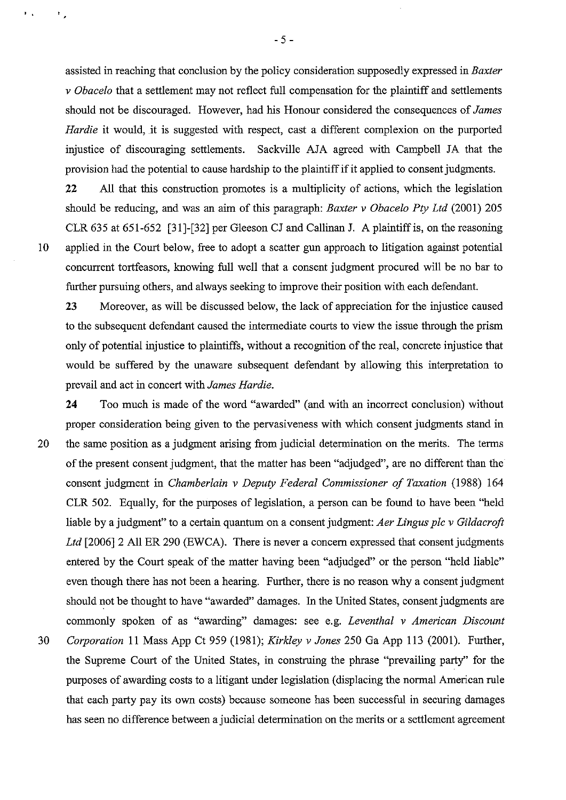assisted in reaching that conclusion by the policy consideration supposedly expressed in *Baxter v Obacelo* that a settlement may not reflect full compensation for the plaintiff and settlements should not be discouraged. However, had his Honour considered the consequences of *James Hardie* it would, it is suggested with respect, cast a different complexion on the purported injustice of discouraging settlements. Sackville AJA agreed with Campbell JA that the provision had the potential to cause hardship to the plaintiff if it applied to consent judgments.

22 All that this construction promotes is a multiplicity of actions, which the legislation should be reducing, and was an aim of this paragraph: *Baxter v Obacelo Pty Ltd* (2001) 205 CLR 635 at 651-652 [31]-[32] per Gleeson CJ and Callinan J. A plaintiff is, on the reasoning 10 applied in the Court below, free to adopt a scatter gun approach to litigation against potential concurrent tortfeasors, knowing full well that a consent judgment procured will be no bar to further pursuing others, and always seeking to improve their position with each defendant.

23 Moreover, as will be discussed below, the lack of appreciation for the injustice caused to the subsequent defendant caused the intermediate courts to view the issue through the prism only of potential injustice to plaintiffs, without a recognition of the real, concrete injustice that would be suffered by the unaware subsequent defendant by allowing this interpretation to prevail and act in concert with *James Hardie.* 

24 Too much is made of the word "awarded" (and with an incorrect conclusion) without proper consideration being given to the pervasiveness with which consent judgments stand in 20 the same position as a judgment arising from judicial determination on the merits. The terms of the present consent judgment, that the matter has been "adjudged", are no different than the consent judgment in *Chamberlain v Deputy Federal Commissioner of Taxation* (1988) 164 CLR 502. Equally, for the purposes of legislation, a person can be found to have been "held liable by a judgment" to a certain quantum on a consent judgment: *Aer Lingus plc v Gildacroft* Ltd <sup>[2006]</sup> 2 All ER 290 (EWCA). There is never a concern expressed that consent judgments entered by the Court speak of the matter having been "adjudged" or the person "held liable" even though there has not been a hearing. Further, there is no reason why a consent judgment should not be thought to have "awarded" damages. In the United States, consent judgments are commonly spoken of as "awarding" damages: see e.g. *Leventhal v American Discount*  30 *Corporation* 11 Mass App Ct 959 (1981); *Kirkley v Jones* 250 Ga App 113 (2001). Further, the Supreme Court of the United States, in construing the phrase "prevailing party'' for the

purposes of awarding costs to a litigant under legislation (displacing the normal American rule that each party pay its own costs) because someone has been successful in securing damages has seen no difference between a judicial determination on the merits or a settlement agreement

..

١,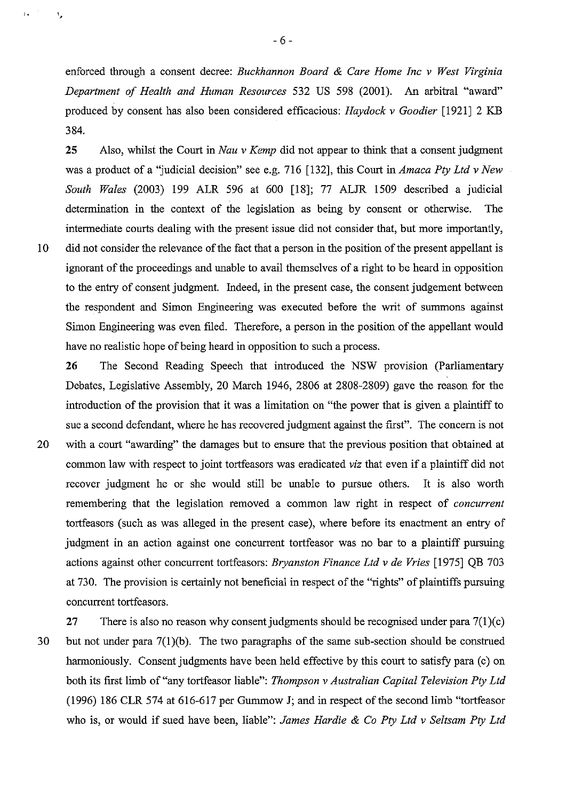enforced through a consent decree: *Buckhannon Board* & *Care Home Inc v West Virginia Department of Health and Human Resources* 532 US 598 (2001). An arbitral "award" produced by consent has also been considered efficacious: *Haydock v Goodier* [1921] 2 KB 384.

**25** Also, whilst the Court in *Nau v Kemp* did not appear to think that a consent judgment was a product of a 'judicial decision" see e.g. 716 [132], this Court in *Amaca Pty Ltd v New South Wales* (2003) 199 ALR 596 at 600 [18]; 77 ALJR 1509 described a judicial determination in the context of the legislation as being by consent or otherwise. The intermediate courts dealing with the present issue did not consider that, but more importantly, 10 did not consider the relevance of the fact that a person in the position of the present appellant is ignorant of the proceedings and unable to avail themselves of a right to be heard in opposition to the entry of consent judgment. Indeed, in the present case, the consent judgement between the respondent and Simon Engineering was executed before the writ of summons against Simon Engineering was even filed. Therefore, a person in the position of the appellant would have no realistic hope of being heard in opposition to such a process.

**26** The Second Reading Speech that introduced the NSW provision (Parliamentary Debates, Legislative Assembly, 20 March 1946, 2806 at 2808-2809) gave the reason for the introduction of the provision that it was a limitation on "the power that is given a plaintiff to sue a second defendant, where he has recovered judgment against the first". The concern is not

- 20 with a court "awarding" the damages but to ensure that the previous position that obtained at common law with respect to joint tortfeasors was eradicated viz that even if a plaintiff did not recover judgment he or she would still be unable to pursue others. It is also worth remembering that the legislation removed a common law right in respect of *concurrent*  tortfeasors (such as was alleged in the present case), where before its enactment an entry of judgment in an action against one concurrent tortfeasor was no bar to a plaintiff pursuing actions against other concurrent tortfeasors: *Bryanston Finance Ltd v de Vries* [1975] QB 703 at 730. The provision is certainly not beneficial in respect of the "rights" of plaintiffs pursuing concurrent tortfeasors.
- 

'·

ň,

27 There is also no reason why consent judgments should be recognised under para  $7(1)(c)$ 30 but not under para 7(1)(b). The two paragraphs of the same sub-section should be construed harmoniously. Consent judgments have been held effective by this court to satisfy para (c) on both its first limb of "any tortfeasor liable": *Thompson v Australian Capital Television Pty Ltd*  (1996) 186 CLR 574 at 616-617 per Gummow **J;** and in respect of the second limb "tortfeasor who is, or would if sued have been, liable": *James Hardie* & *Co Pty Ltd v Seltsam Pty Ltd*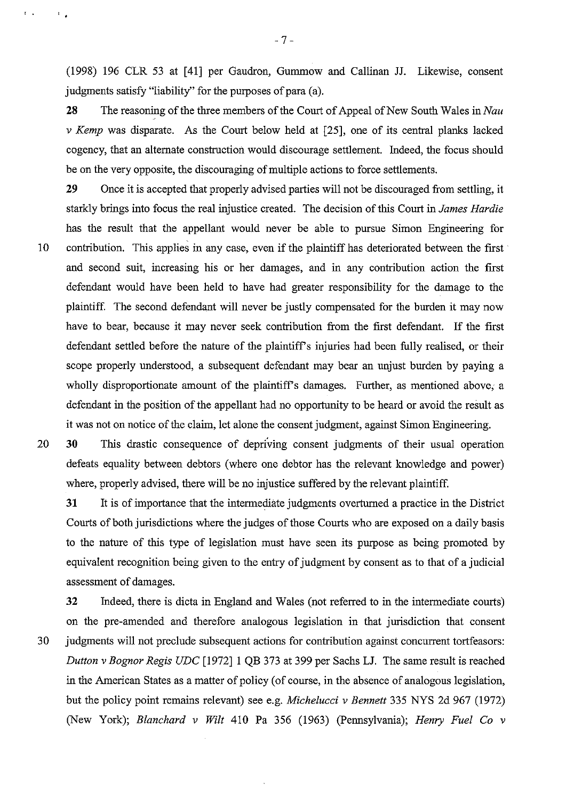(1998) 196 CLR 53 at [41] per Gaudron, Gummow and Callinan JJ. Likewise, consent judgments satisfy "liability" for the purposes of para (a).

28 The reasoning of the three members of the Court of Appeal of New South Wales in *Nau v Kemp* was disparate. As the Court below held at [25], one of its central planks lacked cogency, that an alternate construction would discourage settlement. Indeed, the focus should be on the very opposite, the discouraging of multiple actions to force settlements.

29 Once it is accepted that properly advised parties will not be discouraged from settling, it starkly brings into focus the real injustice created. The decision of this Court in *James Hardie*  has the result that the appellant would never be able to pursue Simon Engineering for 10 contribution. This applies in any case, even if the plaintiff has deteriorated between the first · and second suit, increasing his or her damages, and in any contribution action the first defendant would have been held to have had greater responsibility for the damage to the plaintiff. The second defendant will never be justly compensated for the burden it may now have to bear, because it may never seek contribution from the first defendant. If the first defendant settled before the nature of the plaintiff's injuries had been fully realised, or their scope properly understood, a subsequent defendant may bear an unjust burden by paying a wholly disproportionate amount of the plaintiff's damages. Further, as mentioned above, a defendant in the position of the appellant had no opportunity to be heard or avoid the result as it was not on notice of the claim, let alone the consent judgment, against Simon Engineering.

 $\mathbf{r}$  .

 $\mathbf{r}_{\text{in}}$ 

20 30 This drastic consequence of depriving consent judgments of their usual operation defeats equality between debtors (where one debtor has the relevant knowledge and power) where, properly advised, there will be no injustice suffered by the relevant plaintiff.

31 It is of importance that the intermediate judgments overturned a practice in the District Courts of both jurisdictions where the judges of those Courts who are exposed on a daily basis to the nature of this type of legislation must have seen its purpose as being promoted by equivalent recognition being given to the entry of judgment by consent as to that of a judicial assessment of damages.

32 Indeed, there is dicta in England and Wales (not referred to in the intermediate courts) on the pre-amended and therefore analogous legislation in that jurisdiction that consent 30 judgments will not preclude subsequent actions for contribution against concurrent tortfeasors: *Dutton v Bognar Regis UDC* [1972]1 QB 373 at 399 per Sachs LJ. The same result is reached in the American States as a matter of policy (of course, in the absence of analogous legislation, but the policy point remains relevant) see e.g. *Michelucci v Bennett* 335 NYS 2d 967 (1972) (New York); *Blanchard v Wilt* 410 Pa 356 (1963) (Pennsylvania); *Henry Fuel Co v*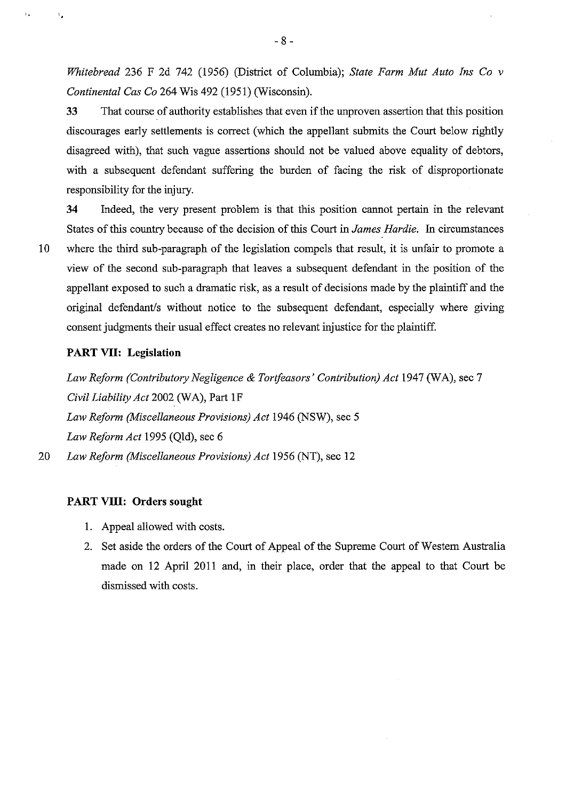*Whitebread* 236 F 2d 742 (1956) (District of Columbia); *State Farm Mut Auto Ins Co v Continental Cas Co* 264 Wis 492 (1951) (Wisconsin).

33 That course of authority establishes that even if the unproven assertion that this position discourages early settlements is correct (which the appellant submits the Court below rightly disagreed with), that such vague assertions should not be valued above equality of debtors, with a subsequent defendant suffering the burden of facing the risk of disproportionate responsibility for the injury.

**34** Indeed, the very present problem is that this position cannot pertain in the relevant States of this country because of the decision of this Court in *James Hardie.* In circumstances 10 where the third sub-paragraph of the legislation compels that result, it is unfair to promote a view of the second sub-paragraph that leaves a subsequent defendant in the position of the appellant exposed to such a dramatic risk, as a result of decisions made by the plaintiff and the original defendant/s without notice to the subsequent defendant, especially where giving consent judgments their usual effect creates no relevant injustice for the plaintiff.

### **PART VII: Legislation**

 $\mathbf{r}$ .

 $\bar{V}$ 

Law Reform (Contributory Negligence & Tortfeasors' Contribution) Act 1947 (WA), sec 7 Civil *Liability Act* 2002 (WA), Part IF *Law Reform (Miscellaneous Provisions) Act* 1946 (NSW), sec 5 *Law Reform Act* 1995 (Qld), sec 6

20 *Law Reform (Miscellaneous Provisions) Act* 1956 (NT), sec 12

### **PART VIII: Orders sought**

- 1. Appeal allowed with costs.
- 2. Set aside the orders of the Court of Appeal of the Supreme Court of Western Australia made on 12 April 2011 and, in their place, order that the appeal to that Court be dismissed with costs.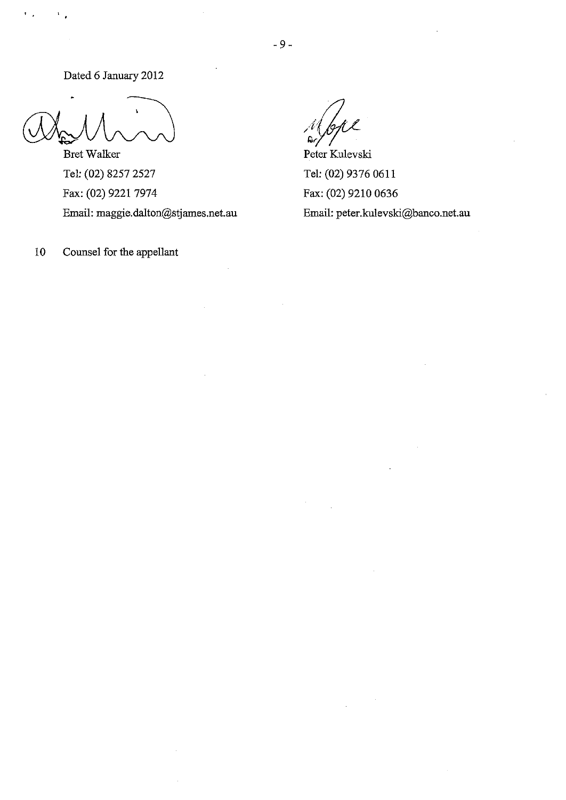Dated 6 January 2012

Ĺ

BretWalker Tel; (02) 8257 2527 Fax: (02) 9221 7974 Email: maggie.dalton@stjames.net.au

10 Counsel for the appellant

Peter Kulevski Tel; (02) 9376 0611 Fax: (02) 9210 0636 Email: peter.kulevski@banco.net.au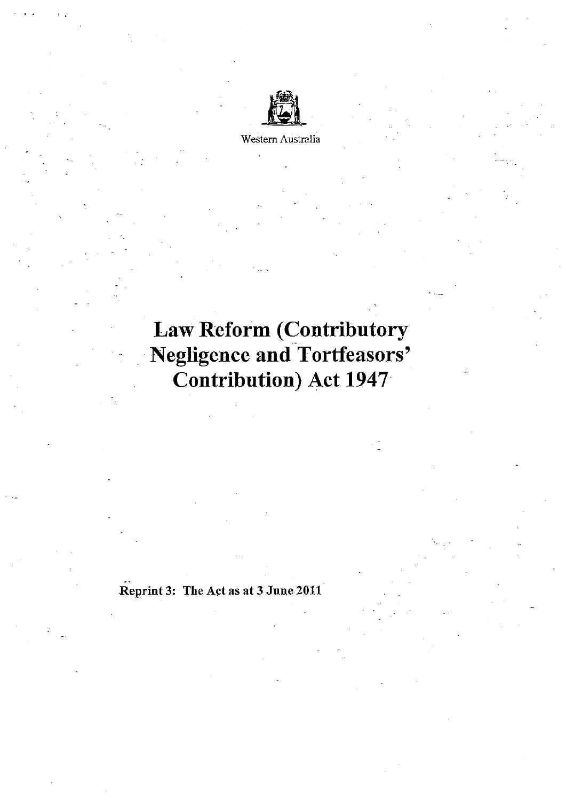

' I • I ,

Western Australia

## **Law Reform (Contributory ·Negligence and Tortfeasors' Contribution) Act 1947·**

.. Reprint 3: The Act as at 3 June 2011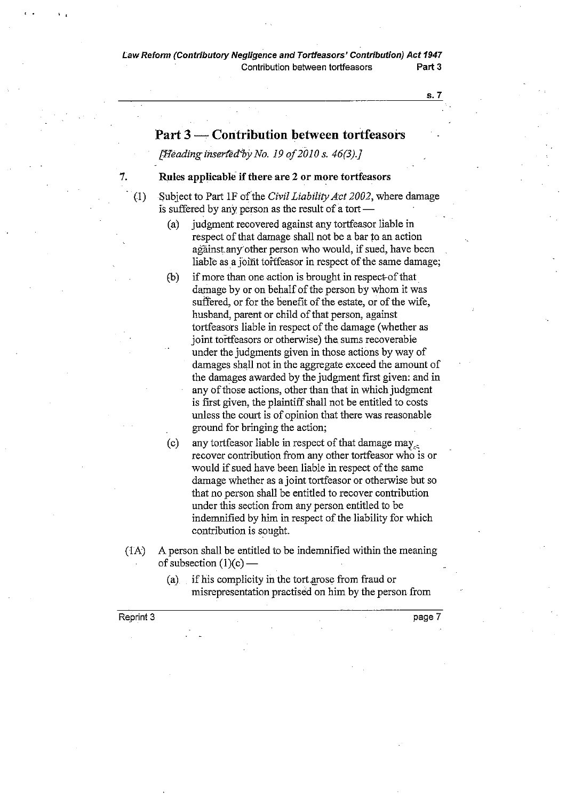**Law Reform (Contributory Negligence and Tortfeasors' Contribution) Act 1947**  Contribution between tortfeasors **Part 3** 

**s. 7** 

### Part 3 - Contribution between tortfeasors

*[Heading inserted'oy No. 19 of2010* s. *46(3).}* 

 $\mathbf{r}$ 

### **7. R,ules applicable if there are 2 or more tortfeasors**

(1) Subject to Part 1F of the *Civil Liability Act 2002*, where damage is suffered by any person as the result of a tort $-$ 

- (a) judgment recovered against any tortfeasor liable in respect of that damage shall not be a bar to an action against any· other person who would, if sued, have been liable as a joint tortfeasor in respect of the same damage;
- (b) if more than one action is brought in respect-of that. damage by or on behalf of the person by whom it was suffered, or for the benefit of the estate, or of the wife, husband, parent or child of that person, against tortfeasors liable in respect of the damage (whether as joint tortfeasors or otherwise) the sums recoverable under the judgments given in those actions by way of damages shall not in the aggregate exceed the amount of the damages awarded by the judgment first given: and in any of those actions, other than that in which judgment is first given, the plaintiff shall not be entitled to costs unless the court is of opinion that there was reasonable ground for bringing the action;
- (c) any tortfeasor liable in respect of that damage may, recover contribution from any other tortfeasor who is or would if sued have been liable in respect of the same damage whether as a joint tortfeasor or otherwise but so that no person shall be entitled to recover contribution under this section from any person entitled to be indemnified by him in respect of the liability for which contribution is sought.
- $(1A)$  A person shall be entitled to be indemnified within the meaning of subsection  $(1)(c)$  —
	- (a) if his complicity in the tort arose from fraud or misrepresentation practised on him by the person from

Reprint 3 page 7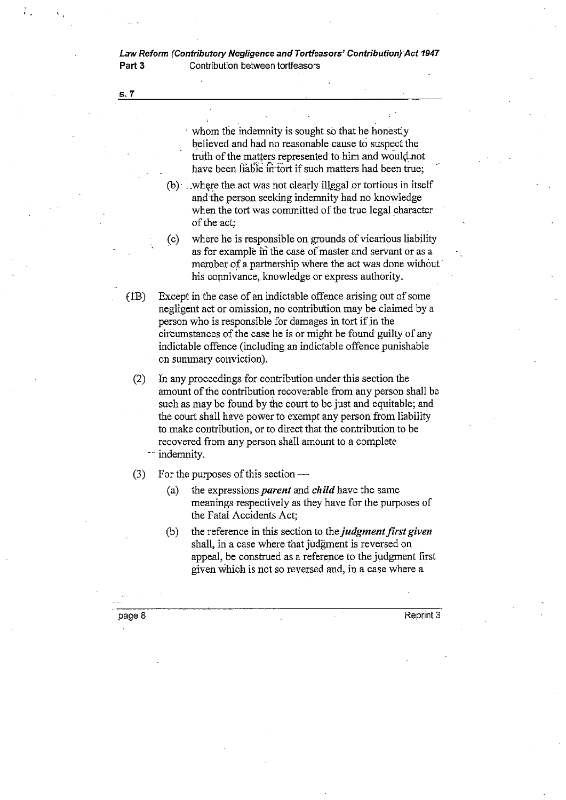Law Reform (Contributory Negligence and Tortfeasors' Contribution) Act 1947 Part 3 Contribution between tortfeasors

whom the indemnity is sought so that he honestly believed and had no reasonable cause to suspect the truth of the matters represented to him and would not have been liable in tort if such matters had been true;

 $(b)$  where the act was not clearly illegal or tortious in itself and the person seeking indemnity had no knowledge when the tort was committed of the true legal character of the act;

(c) where he is responsible on grounds of vicarious liability as for example in the case of master and servant or as a member of a partnership where the act was done without his copnivance, knowledge or express authority.

 $(1B)$  Except in the case of an indictable offence arising out of some negligent act or omission, no contribution may be claimed by a person who is responsible for damages in tort if in the circumstances of the case he is or might be found guilty of any indictable offence (including an indictable offence punishable on summary conviction).

(2) In any proceedings for contribution under this section the amount of the contribution recoverable from any person shall be such as may be found by the court to be just and equitable; and the court shall have power to exempt any person from liability to make contribution, or to direct that the contribution to be recovered from any person shall amount to a complete indemnity.

 $(3)$  For the purposes of this section  $-\frac{1}{2}$ 

- (a) the expressions *parent* and *child* have the same meanings respectively as they have for the purposes of the Fatal Accidents Act;
- (b) the reference in this section to *thejudgmentfirst given*  shall, in a case where that judgment is reversed on appeal, be construed as a reference to the judgment first given which is not so reversed and, in a case where a

page 8 Reprint 3

s. 7

' .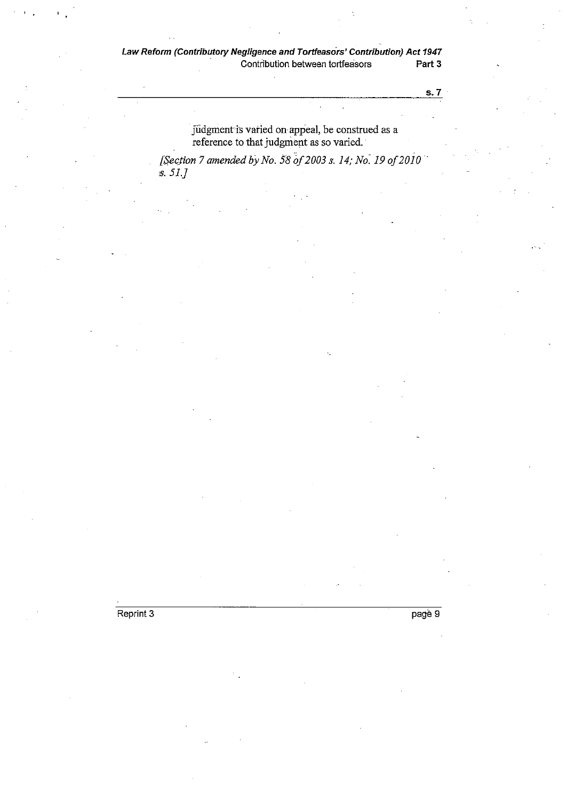**Law Reform (Contributory Negligence and Tortfeasors' Contribution) Act 1947 Contribution between tortfeasors** 

**s. 7** 

jüdgment is varied on appeal, be construed as a reference to that judgment as so varied.

*[S.ec\_tion* 7 *amended* by *No. 58* ~f2003 *s. 14; No: 19 of20jo* · *s. 51.]* 

Reprint 3

page 9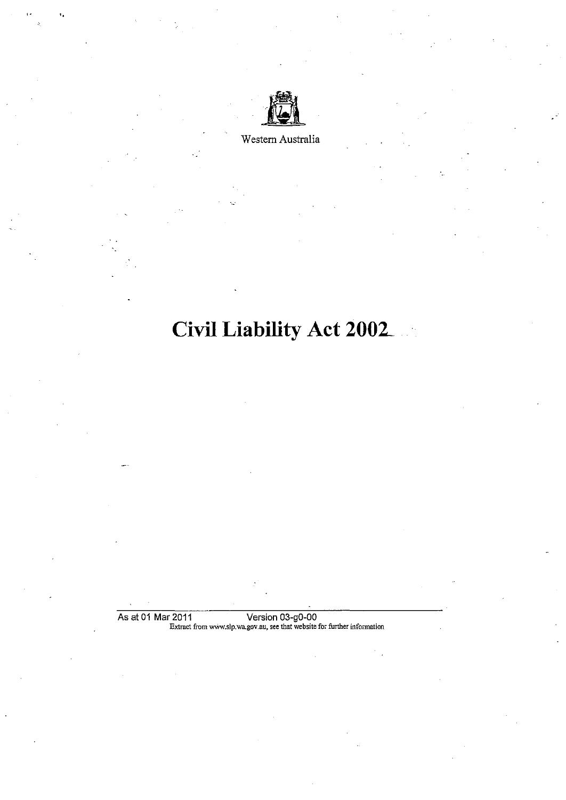

 $\bullet$  ' $\bullet$  ' $\bullet$ ' $\bullet$ 

Western Australia

## Civil Liability Act 2002..

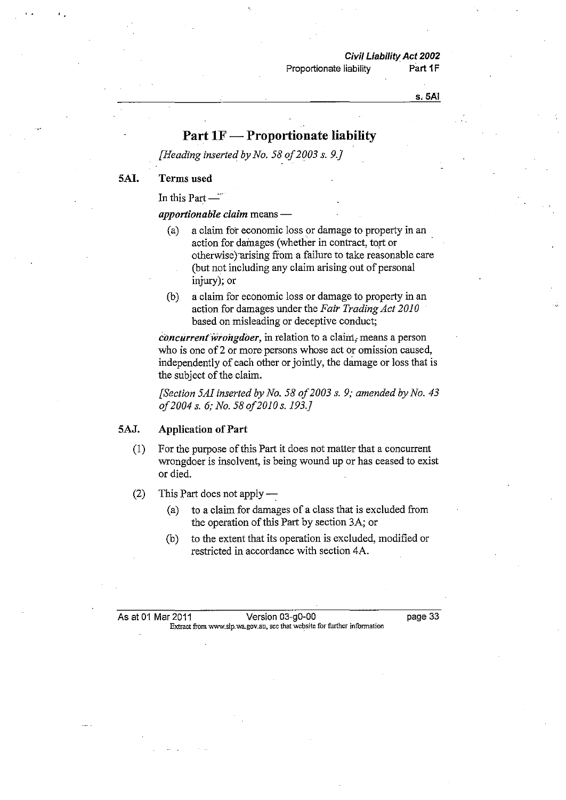### **Civil Liability Act 2002**  Proportionate liability **Part 1F**

**s.SAI** 

### Part 1F - Proportionate liability

*[Heading inserted by No. 58 of 2003 s. 9.}* 

**SAl. Terms used** 

'.

In this Part-

*apportionable claim* means -

- (a) a claim for economic loss or damage to property in an action for damages (whether in contract, tort or otherwise )-arising from a failure to take reasonable care (but not including any claim arising out of personal injury); or
- (b) a claim for economic loss or damage to property in an action for damages under the *Fair Trading Act 2010*  based on misleading or deceptive conduct;

*concurrent wrongdoer*, in relation to a claim, means a person who is one of 2 or more persons whose act or omission caused, independently of each other or jointly, the damage or loss that is the subject of the claim.

*[Section 5A1 inserted by No. 58 of2003 s. 9; amended by No. 43 oj2004 s. 6; No. 58 oj2010 s. 193.}* 

### **SAJ. Application of Part**

- (1) For the purpose of this Part it does not matter that a concurrent wrongdoer is insolvent, is being wound up or has ceased to exist or died.
- (2) This Part does not apply  $-$ 
	- (a) to a claim for damages of a class that is excluded from the operation of this Part by section 3A; or
	- (b) to the extent that its operation is excluded, modified or restricted in accordance with section 4A.

As at 01 Mar 2011 Version 03-g0-00 page 33 Extract from www.slp.wa.gov.au, see that website for further information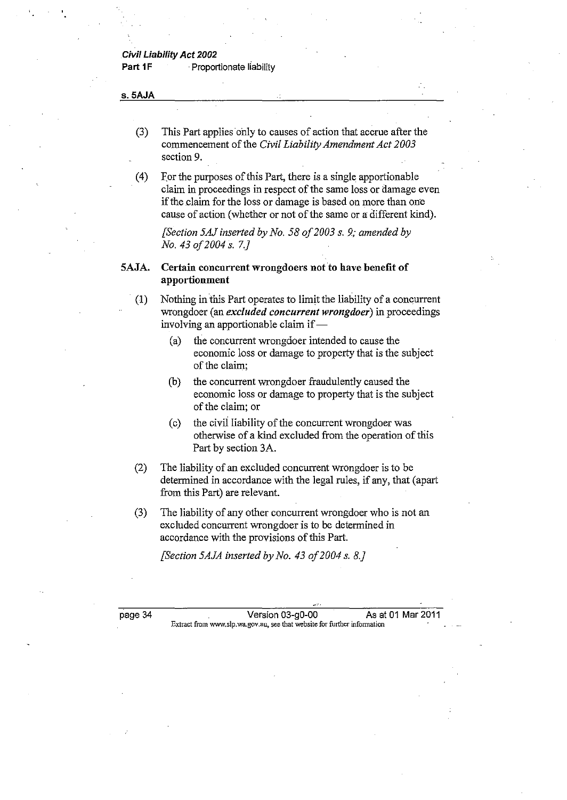Civil Liability Act 2002 Part 1F Proportionate liability

s. SAJA

### (3) This Part applies only to causes of action that accrue after the commencement of the *Civil Liability Amendment Act 2003*  section 9.

 $(4)$  For the purposes of this Part, there is a single apportionable claim in proceedings in respect of the same loss or damage even if the claim for the loss or damage is based on more than one cause of action (whether or not of the same or a different kind).

*[Section 5AJ inserted by No. 58 of 2003 s. 9; amended by No. 43 of2004 s. 7.}* 

#### 5AJA. Certain concurrent wrongdoers not to have benefit of apportionment

(1) Nothing in this Part operates to limit the liability of a concurrent wrongdoer (an *excluded concurrent wrongdoer)* in proceedings involving an apportionable claim if-

- (a) the concurrent wrongdoer intended to cause the economic loss or damage to property that is the subject of the claim;
- (b) the concurrent wrongdoer fraudulently caused the economic loss or damage to property that is the subject of the claim; or
- (c) the civii liability of the concurrent wrongdoer was otherwise of a kind excluded from the operation of this Part by section 3A.
- (2) The liability of an excluded concurrent wrongdoer is to be determined in accordance with the legal rules, if any, that (apart from this Part) are relevant.
- (3) The liability of any other concurrent wrongdoer who is not an excluded concurrent wrongdoer is to be determined in accordance with the provisions of this Part.

*[Section 5AJA inserted by No. 43 of 2004 s. 8.]* 

page 34 Version 03-g0-00 As at 01 Mar 2011 Extract from www.slp.wa.gov.au, see that website for further information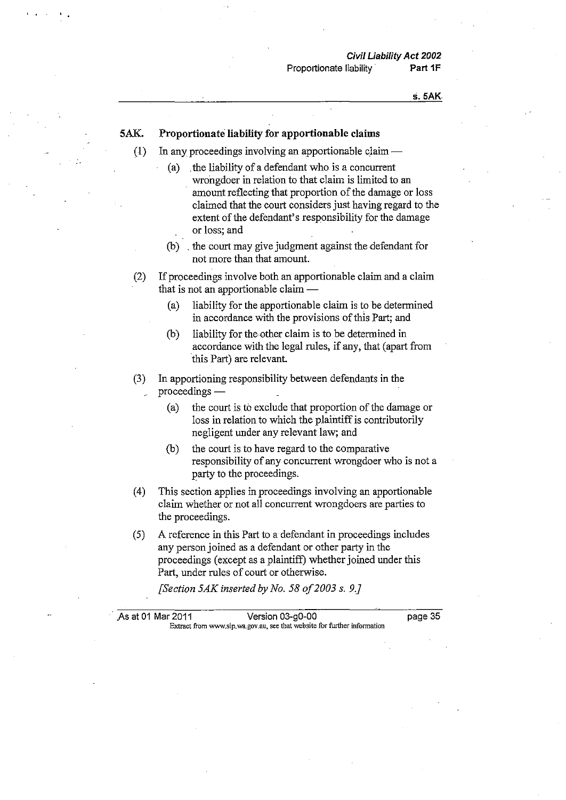**s.5AK** 

### **SAK. Proportionate liability for apportionable claims**

 $\mathcal{L}(\mathbf{r})$ 

- (1) In any proceedings involving an apportionable claim  $-$ 
	- (a) .the liability of a defendant who is a concurrent wrongdoer in relation to that claim is limited to an amount reflecting that proportion of the damage or loss claimed that the court considers just having regard to the extent of the defendant's responsibility for the damage or loss; and
	- $(b)$  the court may give judgment against the defendant for not more than that amount.
- (2) If proceedings involve both an apportionable claim and a claim that is not an apportionable claim  $-$ 
	- (a) liability for the apportionable claim is to be determined in accordance with the provisions of this Part; and
	- (b) liability for theother claim is to be determined in accordance with the legal rules, if any, that (apart from ·this Part) are relevant
- (3) In apportioning responsibility between defendants in the proceedings -
	- (a) the court is to exclude that proportion of the damage or loss in relation to which the plaintiff is contributorily negligent under any relevant law; and
	- (b) the court is to have regard to the comparative responsibility of any concurrent wrongdoer who is not a party to the proceedings.
- ( 4) This section applies in proceedings involving an apportionable claim whether or not all concurrent wrongdoers are parties to the proceedings.
- (5) A reference in this Part to a defendant in proceedings includes any person joined as a defendant or other party in the proceedings (except as a plaintiff) whether joined under this Part, under rules of court or otherwise.

*[Section 5AK inserted* by *No. 58 of2003 s. 9.]* 

As at 01 Mar 2011 **Version 03-g0-00 page 35 Extract from www.slp. wagov.au, see that website for further infonnation**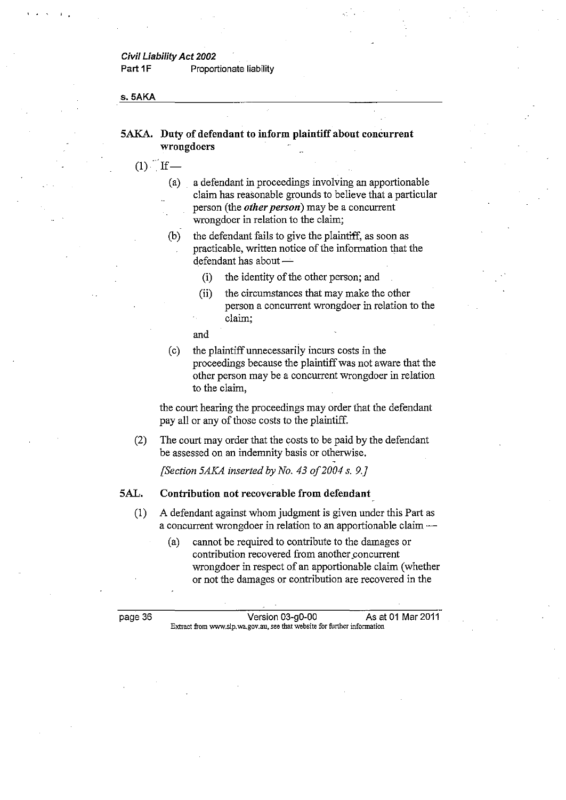Civil Liability Act 2002 Part 1F Proportionate liability

#### s. 5AKA

..

### SAKA. Duty of defendant to inform plaintiff about concurrent wrongdoers

 $(1)$  If  $-$ 

(a) a defendant in proceedings involving an apportionable claim has reasonable grounds to believe that a particular person (the *other person)* may be a concurrent wrongdoer in relation to the claim;

- (b) the defendant fails to give the plaintiff, as soon as practicable, written notice of the information that the  $defendant$  has about  $-$ 
	- (i) the identity of the other person; and
	- (ii) the circumstances that may make the other person a concurrent wrongdoer in relation to the claim;

and

(c) the plaintiff unnecessarily incurs costs in the proceedings because the plaintiff was not aware that the other person may be a concurrent wrongdoer in relation to the claim,

the court hearing the proceedings may order that the defendant pay all or any of those costs to the plaintiff.

(2) The court may order that the costs to be paid by the defendant be assessed on an indemnity basis or otherwise.

*[Section 5AKA inserted by No. 43 of 2004 s. 9.]* 

#### SAL. Contribution not recoverable from defendant

- (1) A defendant against whom judgment is given under this Part as a concurrent wrongdoer in relation to an apportionable claim  $-$ 
	- (a) cannot be required to contribute to the damages or contribution recovered from another \_concurrent wrongdoer in respect of an apportionable claim (whether or not the damages or contribution are recovered in the

page 36

Version 03-g0-00 As at 01 Mar 2011 Extract from www.slp.wa.gov.au, see that website for further information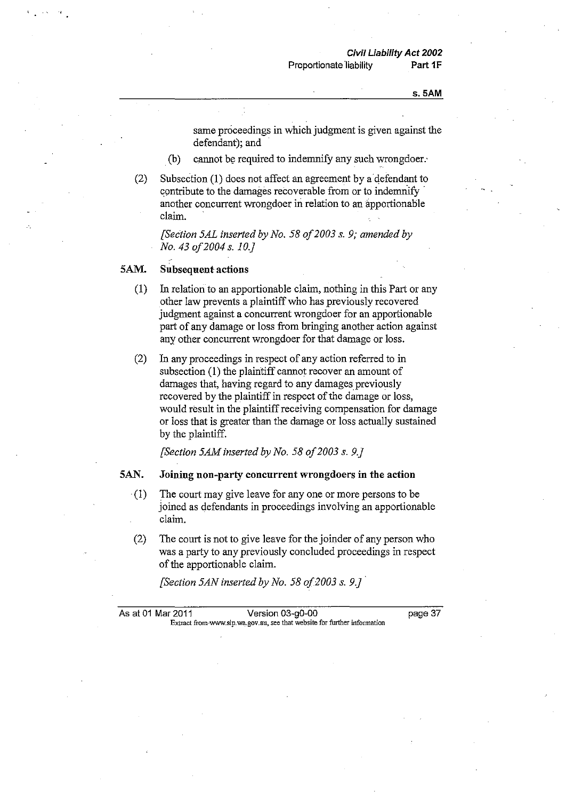same proceedings in which judgment is given against the defendant); and

- (b) cannot be required to indemnify any such wrongdoer.
- (2) Subsection (1) does not affect an agreement by a qefendant to contribute to the damages recoverable from or to indemnify another concurrent wrongdoer in relation to an apportionable claim.

*[Section 5AL inserted by No. 58 of2003 s. 9; amended by No. 43 of2004 s. 10.}* 

### SAM. **Subsequent actions**

- $(1)$  In relation to an apportionable claim, nothing in this Part or any other law prevents a plaintiff who has previously recovered judgment against a concurrent wrongdoer for an apportionable part of any damage or loss from bringing another action against any other concurrent wrongdoer for that damage or loss.
- (2) In any proceedings in respect of any action referred to in subsection **(1)** the plaintiff cannot recover an amount of damages that, having regard to any damages previously recovered by the plaintiff in respect of the damage or loss, would result in the plaintiff receiving compensation for damage or loss that is greater than the damage or loss actually sustained by the plaintiff.

*[Section 5AM inserted by No. 58 of 2003 s. 9.}* 

### **SAN. Joining non-party concurrent wrongdoers in the action**

- (1) The court may give leave for any one or more persons to be joined as defendants in proceedings involving an apportionable claim.
- (2) The court is not to give leave for the joinder of any person who was a party to any previously concluded proceedings in respect of the apportionable claim.

*[Section 5AN inserted by No. 58 of 2003 s. 9.]* 

| As at 01 Mar 2011 | Version 03-g0-00                                                         | page 37 |
|-------------------|--------------------------------------------------------------------------|---------|
|                   | Extract from www.slp.wa.gov.au, see that website for further information |         |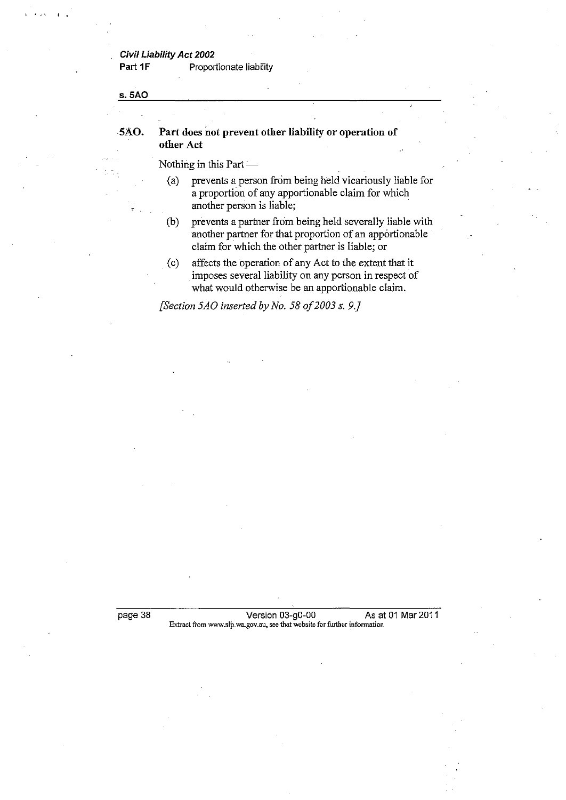**Civil Liability Act 2002 Part 1F** Proportionate liability

**s.SAO** 

I<br>I 'est a

### **SAO. Part does not prevent other liability or operation of other Act**

Nothing in this Part-

- (a) prevents a person from being held vicariously liable for a proportion of any apportionable claim for which another person is liable;
- (b) prevents a partner from being held severally liable with another partner for that proportion of an apportionable claim for which the other partner is liable; or
- (c) affects the operation of any Act to the extent that it imposes several liability on any person in respect of what would otherwise be an apportionable claim.

*[Section SAO inserted by No. 58 of2003 s. 9.]* 

page 38

Version 03-g0-00 As at 01 Mar 2011 **Extract from www.slp.wagov .au, see that website for further infonnation**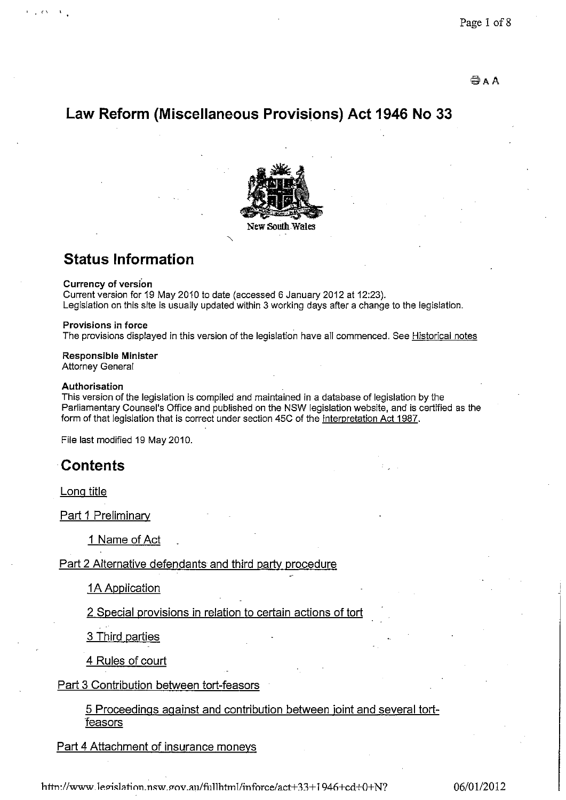### **Law Reform (Miscellaneous Provisions) Act 1946 No 33**



### **Status Information**

#### Currency of version

 $\mathcal{C}^{\infty}$  '  $\mathcal{C}^{\infty}$ 

Current version for 19 May 2010 to date (accessed 6 January 2012 at 12:23). Legislation on this site is usually updated within 3 working days after a change to the legislation.

#### Provisions in force

The provisions displayed in this version of the legislation have all commenced. See Historical notes

Responsible Minister

Attorney General

#### Authorisation

This version of the legislation is compiled and maintained in a database of legislation by the Parliamentary Counsel's Office and published on the NSW legislation website, and is certified as the form of that legislation that is correct under section 45C of the Interpretation Act 1987.

File last modified 19 May 2010.

### **·Contents**

Long title

Part 1 Preliminary

1 Name of Act

### Part 2 Alternative defendants and third party procedure

1A Application

2 Special provisions in relation to certain actions of tort

3 Third parties

4 Rules of court

### Part 3 Contribution between tort-feasors

5 Proceedings against and contribution between joint and several tort **feasors** 

### Part 4 Attachment of insurance moneys

httn://www.legislation.nsw.gov.an/fullhtml/inforce/act+33+1946+cd+0+N?  $06/01/2012$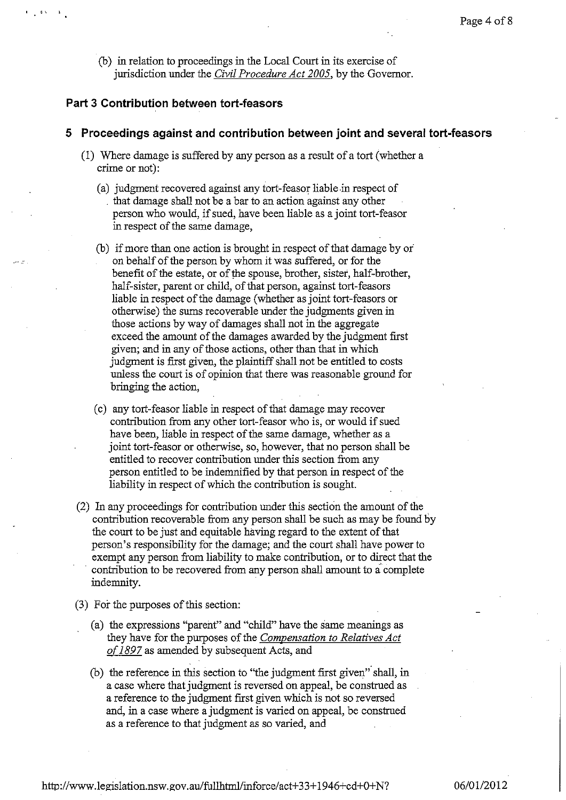(b) in relation to proceedings in the Local Court in its exercise of jurisdiction under the *Civil Procedure Act 2005,* by the Governor.

### **Part 3 Contribution between tort-feasors**

.--.:

 $q \rightarrow$ 

- **5 Proceedings against and contribution between joint and several tort-feasors** 
	- (1) Where damage is suffered by any person as a result of a tort (whether a crime or not):
		- (a) judgment recovered against any tort-feasor liable-in respect of . that damage shall not be a bar to an action against any other person who would, if sued, have been liable as a joint tort-feasor in respect of the same damage,
		- (b) if more than one action is brought in respect of that damage by or on behalf of the person by whom it was suffered, or for the benefit of the estate, or of the spouse, brother, sister, half-brother, half-sister, parent or child, of that person, against tort-feasors liable in respect of the damage (whether as joint tort-feasors or otherwise) the sums recoverable under the judgments given in those actions by way of damages shall not in the aggregate exceed the amount of the damages awarded by the judgment first given; and in any of those actions, other than that in which judgment is first given, the plaintiff shall not be entitled to costs unless the court is of opinion that there was reasonable ground for bringing the action,
		- (c) any tort-feasor liable in respect of that damage may recover contribution from any other tort-feasor who is, or would if sued have been, liable in respect of the same damage, whether as a joint tort-feasor or otherwise, so, however, that no person shall be entitled to recover contribution under this section from any person entitled to be indemnified by that person in respect of the liability in respect of which the contribution is sought.
	- (2) In any proceedings for contribution under this section the amount of the contribution recoverable from any person shall be such as may be found by the court to be just and equitable having regard to the extent of that person's responsibility for the damage; and the court shall have power to exempt any person from liability to make contribution, or to direct that the contribution to be recovered from any person shall amount to a complete indemnity.
	- (3) For the purposes of this section:
		- (a) the expressions "parent" and "child" have the same meanings as they have for the purposes of the *Compensation to Relatives Act ofl897* as amended by subsequent Acts, and
		- (b) the reference in this section to "the judgment first given" shall, in a case where that judgment is reversed on appeal, be construed as a reference to the judgment first given which is not so reversed and, in a case where a judgment is varied on appeal, be construed as a reference to that judgment as so varied, and

http://www.legislation.nsw.gov.au/fullhtml/inforce/act+33+1946+cd+0+N? 06/01/2012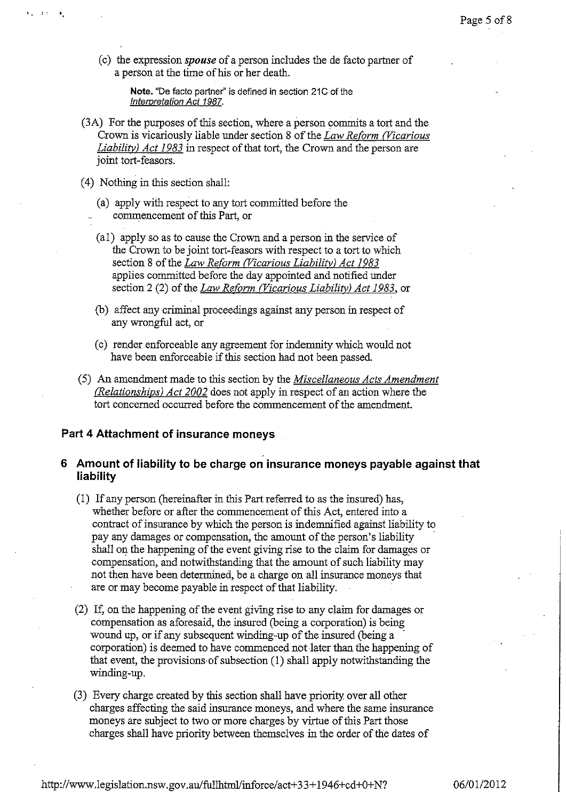(c) the expression *spouse* of a person includes the de facto partner of a person at the time of his or her death.

> **Note.** "De facto partner" is defined in section 21C of the lnteroretation Act 1987.

- (3A) For the purposes of this section, where a person commits a tort and the Crown is vicariously liable under section 8 of the *Law Reform (Vicarious Liability) Act 1983* in respect of that tort, the Crown and the person are joint tort-feasors.
- ( 4) Nothing in this section shall:

•.

 $\mathcal{L}$ 

- (a) apply with respect to any tort committed before the commencement of this Part, or
- ( al) apply so as to cause the Crown and a person in the service of the Crown to be joint tort-feasors with respect to a tort to which section 8 of the *Law Reform (Vicarious Liability) Act 1983* applies committed before the day appointed and notified under section 2 (2) of the *Law RefOrm (Vicarious Liability) Act 1983,* or
- (b) affect any criminal proceedings against any person in respect of any wrongful act, or
- (c) render enforceable any agreement for indemnity which would not have been enforceable if this section had not been passed.
- (5) An amendment made to this section by the *Miscellaneous Acts Amendment (Relationships) Act 2002* does not apply in respect of an action where the tort concerned occurred before the commencement of the amendment.

### **Part 4 Attachment of insurance moneys**

- **6 Amount of liability to be charge on insurance moneys payable against that liability** 
	- (1) If any person (hereinafter in this Part referred to as the insured) has, whether before or after the commencement of this Act, entered into a contract of insurance by which the person is indemnified against liability to pay any damages or compensation, the amount of the person's liability shall on the happening of the event giving rise to the claim for damages or compensation, and notwithstanding that the amount of such liability may not then have been determined, be a charge on all insurance moneys that are or may become payable in respect of that liability.
	- (2) If, on the happening of the event giving rise to any claim for damages or compensation as aforesaid, the insured (being a corporation) is being wound up, or if any subsequent winding-up of the insured (being a corporation) is deemed to have commenced not later than the happening of that event, the provisions of subsection (1) shall apply notwithstanding the winding-up.
	- (3) Every charge created by this section shall have priority over all other charges affecting the said insurance moneys, and where the same insurance moneys are subject to two or more charges by virtue of this Part those charges shall have priority between themselves in the order of the dates of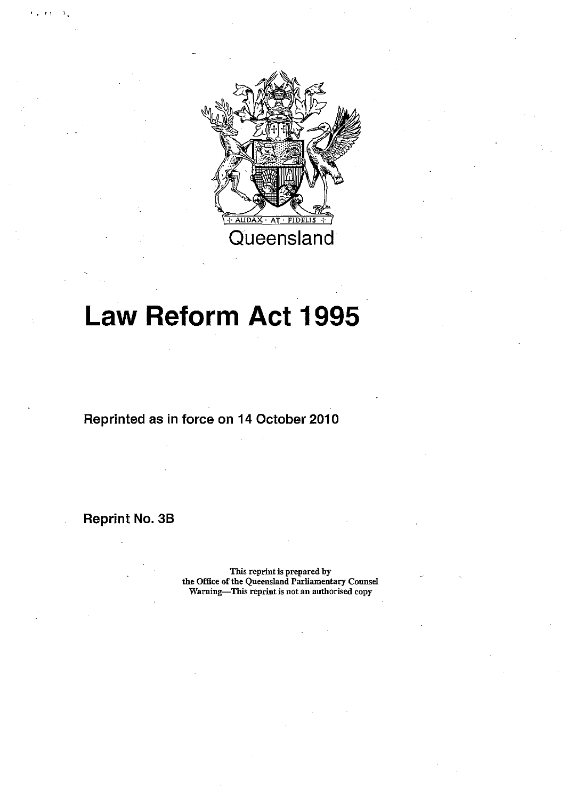

# Law Reform Act 1995

Reprinted as in force on 14 October 2010

Reprint No. 38

" I

This reprint is prepared by the Office of the Queensland Parliamentary Counsel Warning-This reprint is not an authorised copy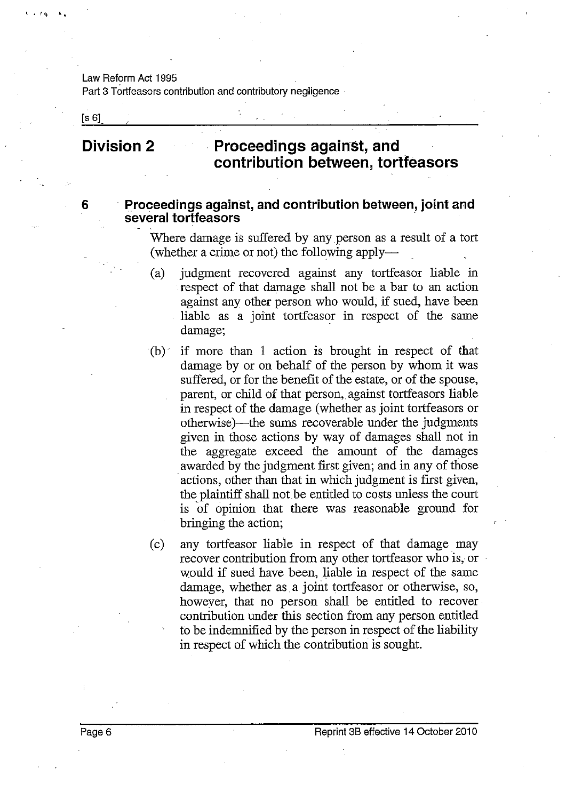Law Reform Act 1995

Part 3 Tortfeasors contribution and contributory negligence

[s 6]

( • f \~ **1** •

### **Division 2 Proceedings against, and contribution between, tortfeasors**

### **6 Proceedings against, and contribution between, joint and several tortfeasors** ·

Where damage is suffered by any person as a result of a tort (whether a crime or not) the following apply-

- ( a) judgment recovered against any tortfeasor liable in respect of that damage shall not be a bar to an action against any other person who would, if sued, have been liable as a joint tortfeasor in respect of the same damage;
- (b)· if more than 1 action is brought in respect of that damage by or on behalf of the person by whom it was suffered, or for the benefit of the estate, or of the spouse, parent, or child of that person, against tortfeasors liable in respect of the damage (whether as joint tortfeasors or otherwise )-the sums recoverable under the judgments given in those actions by way of damages shall not in the aggregate exceed the amount of the damages awarded by the judgment first given; and in any of those actions, other than that in which judgment is first given, the plaintiff shall not be entitled to costs unless the court is of opinion that there was reasonable ground for bringing the action;

(c) any tortfeasor liable in respect of that damage may recover contribution from any other tortfeasor who is, or would if sued have been, liable in respect of the same damage, whether as a joint tortfeasor or otherwise, so, however, that no person shall be entitled to recover contribution under this section from any person entitled to be indemnified by the person in respect of the liability in respect of which the contribution is sought.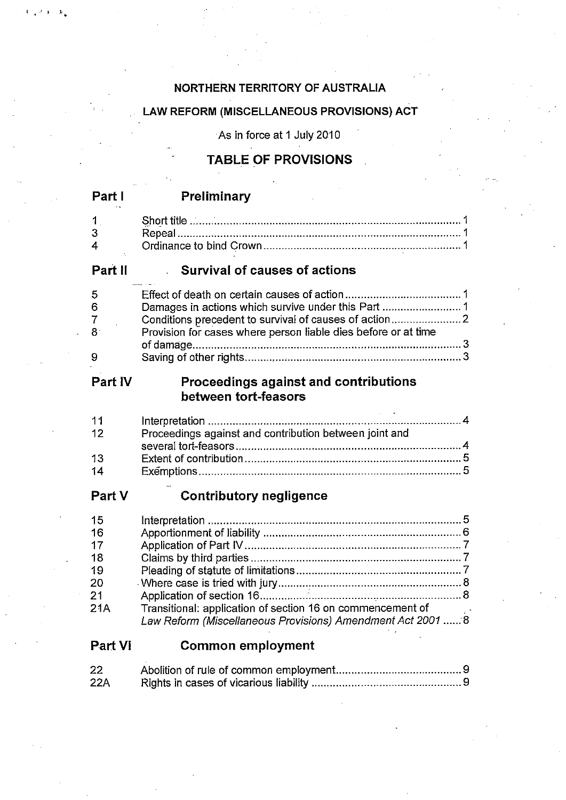### **NORTHERN TERRITORY OF AUSTRALIA**

( • ·' ) J; ..

### **LAW REFORM (MISCELLANEOUS PROVISIONS) ACT**

As in force at 1 July 2010

## **TABLE OF PROVISIONS**

| Part I                                        | <b>Preliminary</b>                                                                                                        |
|-----------------------------------------------|---------------------------------------------------------------------------------------------------------------------------|
| $\mathbf 1$<br>3<br>4                         |                                                                                                                           |
| Part II                                       | <b>Survival of causes of actions</b><br>$\mathcal{L}^{\mathcal{L}}$                                                       |
| 5<br>6<br>$\overline{7}$<br>$8 -$             | Damages in actions which survive under this Part  1<br>Provision for cases where person liable dies before or at time     |
| 9                                             |                                                                                                                           |
| Part IV                                       | <b>Proceedings against and contributions</b><br>between tort-feasors                                                      |
| 11<br>12                                      | <b>Contract Contract</b><br>Proceedings against and contribution between joint and                                        |
| 13<br>14                                      |                                                                                                                           |
|                                               |                                                                                                                           |
| Part V                                        | <b>Contributory negligence</b>                                                                                            |
| 15<br>16<br>17<br>18<br>19<br>20<br>21<br>21A | Transitional: application of section 16 on commencement of<br>Law Reform (Miscellaneous Provisions) Amendment Act 2001  8 |
| <b>Part VI</b>                                | <b>Common employment</b>                                                                                                  |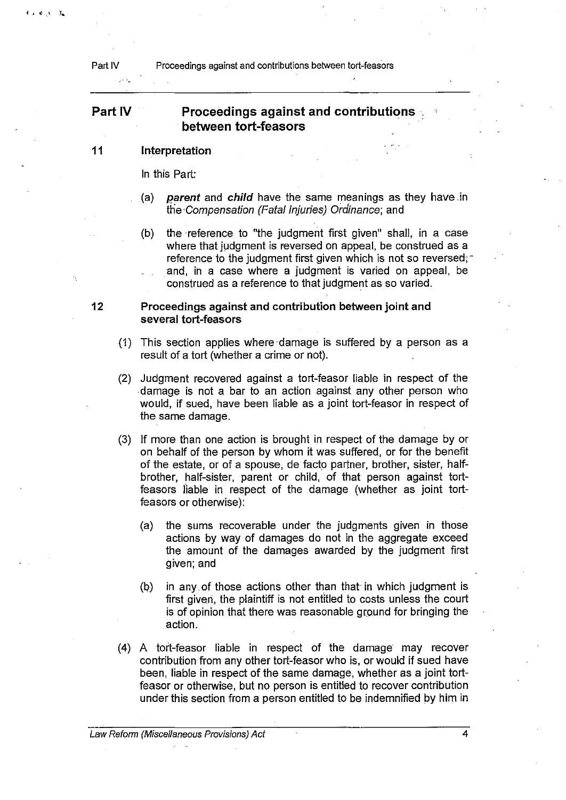**c** • " 'l *7 ..* 

Part IV Proceedings against and contributions between tort-feasors

### **Part IV Proceedings against and contributions between tort-feasors**

#### 11 Interpretation

In this Part:

- (a) **parent and child have the same meanings as they have in** the Compensation (Fatal Injuries) Ordinance; and
- (b) the reference to "the judgment first given" shall, in a case where that judgment is reversed on appeal, be construed as a reference to the judgment first given which is not so reversed; and, in a case where a judgment is varied on appeal, be construed as a reference to that judgment as so varied.

### 12 Proceedings against and contribution between joint and several tort-feasors

- (1) This section applies where damage is suffered by a person as a result of a tort (whether a crime or not).
- (2) Judgment recovered against a tort-feasor liable in respect of the damage is not a bar to an action against any other person who would, if sued, have been liable as a joint tort-feasor in respect of the same damage.
- (3) If more than one action is brought in respect of the damage by or on behalf of the person by whom it was suffered, or for the benefit of the estate, or of a spouse, de facto partner, brother, sister, halfbrother, half-sister, parent or child, of that person against tortfeasors liable in respect of the damage (whether as joint tortfeasors or otherwise):
	- (a) the sums recoverable under the judgments given in those actions by way of damages do not in the aggregate exceed the amount of the damages awarded by the judgment first given; and
	- $(b)$ in any. of those actions other than that in which judgment is first giveri, the plaintiff is not entitled to costs unless the court is of opinion that there was reasonable ground for bringing the action.
- (4) A tort-feasor liable in respect of the damage may recover contribution from any other tort-feasor who is, or would if sued have been, liable in respect of the same damage, whether as a joint tortfeasor or otherwise, but no person is entitled to recover contribution under this section from a person entitled to be indemnified by him in